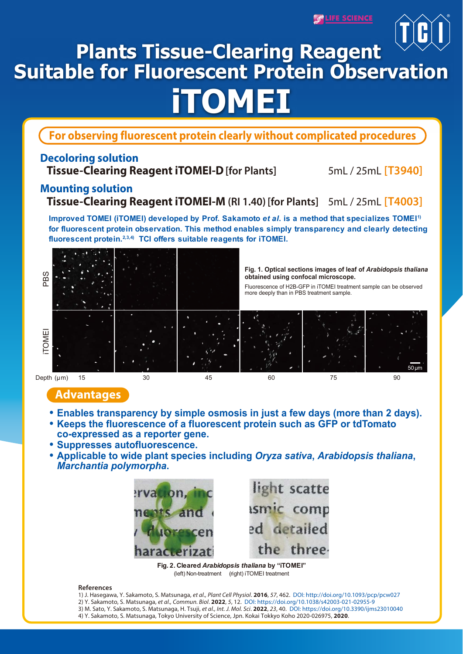<u>LIFE SCIENC</u>



**For observing fluorescent protein clearly without complicated procedures**

## **Decoloring solution**

**Tissue-Clearing Reagent iTOMEI-D[for Plants]** 5mL / 25mL **[T3940]**

# **Mounting solution**

## **Tissue-Clearing Reagent iTOMEI-M (RI 1.40) [for Plants]** 5mL / 25mL **[T4003]**

**Improved TOMEI (iTOMEI) developed by Prof. Sakamoto** *et al***. is a method that specializes TOMEI1) for fluorescent protein observation. This method enables simply transparency and clearly detecting fluorescent protein.2,3,4) TCI offers suitable reagents for iTOMEI.**



## **Advantages**

- **Enables transparency by simple osmosis in just a few days (more than 2 days).**
- **Keeps the fluorescence of a fluorescent protein such as GFP or tdTomato co-expressed as a reporter gene.**
- **Suppresses autofluorescence.**
- **Applicable to wide plant species including** *Oryza sativa***,** *Arabidopsis thaliana***,**  *Marchantia polymorpha***.**



**Fig. 2. Cleared** *Arabidopsis thaliana* **by "iTOMEI"** (left) Non-treatment (right) iTOMEI treatment

### **References**

- 1) J. Hasegawa, Y. Sakamoto, S. Matsunaga, *et al., Plant Cell Physiol*. **2016**, *57*, 462. DOI: http://doi.org/10.1093/pcp/pcw027 2) Y. Sakamoto, S. Matsunaga, *et al., Commun. Biol*. **2022**, *5*, 12. DOI: https://doi.org/10.1038/s42003-021-02955-9
- 3) M. Sato, Y. Sakamoto, S. Matsunaga, H. Tsuji, *et al., Int. J. Mol. Sci*. **2022**, *23*, 40. DOI: https://doi.org/10.3390/ijms23010040
- 4) Y. Sakamoto, S. Matsunaga, Tokyo University of Science, Jpn. Kokai Tokkyo Koho 2020-026975, **2020**.